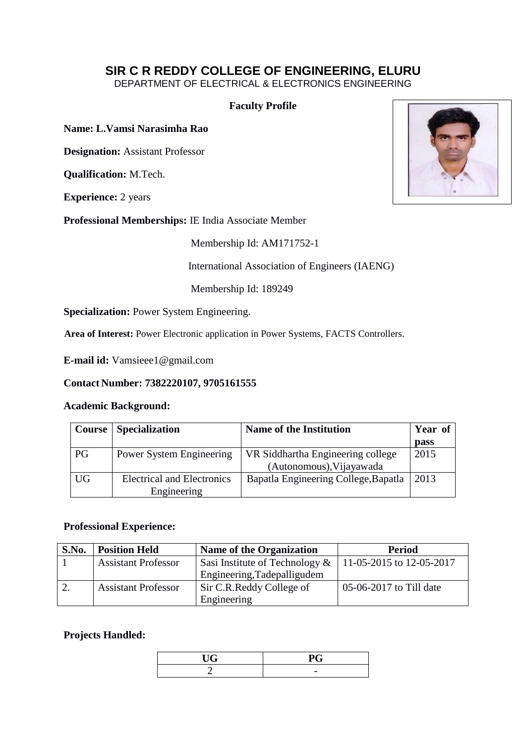# **SIR C R REDDY COLLEGE OF ENGINEERING, ELURU**

DEPARTMENT OF ELECTRICAL & ELECTRONICS ENGINEERING

## **Faculty Profile**

**Name: L.Vamsi Narasimha Rao** 

**Designation:** Assistant Professor

**Qualification:** M.Tech.

**Experience:** 2 years

**Professional Memberships:** IE India Associate Member

Membership Id: AM171752-1

International Association of Engineers (IAENG)

Membership Id: 189249

**Specialization:** Power System Engineering.

**Area of Interest:** Power Electronic application in Power Systems, FACTS Controllers.

**E-mail id:** Vamsieee1@gmail.com

#### **Contact Number: 7382220107, 9705161555**

#### **Academic Background:**

|    | <b>Course</b> Specialization      | <b>Name of the Institution</b>       | Year of     |
|----|-----------------------------------|--------------------------------------|-------------|
|    |                                   |                                      | <b>pass</b> |
| PG | <b>Power System Engineering</b>   | VR Siddhartha Engineering college    | 2015        |
|    |                                   | (Autonomous), Vijayawada             |             |
| UG | <b>Electrical and Electronics</b> | Bapatla Engineering College, Bapatla | 2013        |
|    | Engineering                       |                                      |             |

#### **Professional Experience:**

| S.No. | <b>Position Held</b>       | <b>Name of the Organization</b>                           | <b>Period</b>                    |
|-------|----------------------------|-----------------------------------------------------------|----------------------------------|
|       | <b>Assistant Professor</b> | Sasi Institute of Technology &   11-05-2015 to 12-05-2017 |                                  |
|       |                            | Engineering, Tadepalligudem                               |                                  |
| 2.    | <b>Assistant Professor</b> | Sir C.R. Reddy College of                                 | $\sqrt{05-06-2017}$ to Till date |
|       |                            | Engineering                                               |                                  |

### **Projects Handled:**

| 77 A | $\sim$ $\sim$<br>J       |
|------|--------------------------|
|      | $\overline{\phantom{0}}$ |